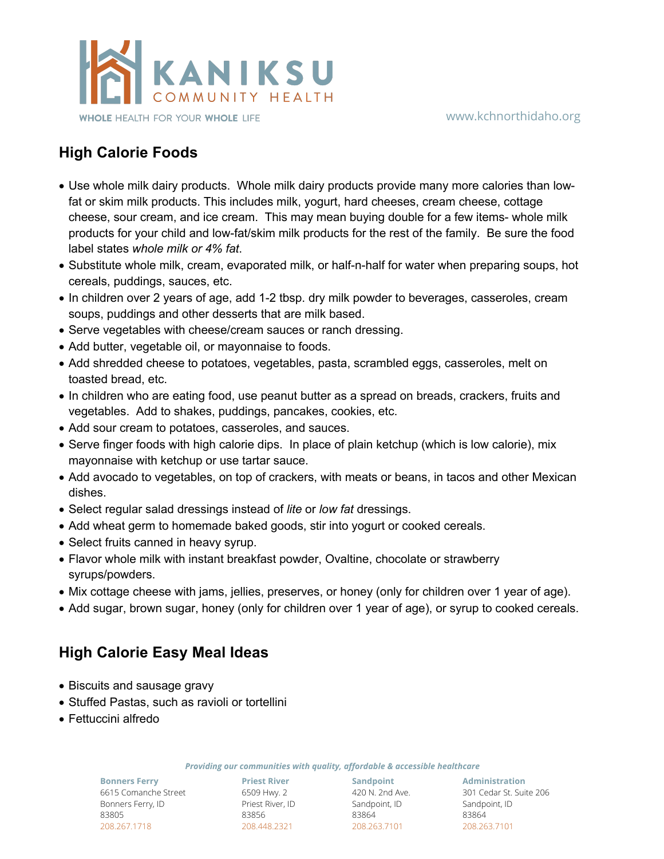

## **High Calorie Foods**

- Use whole milk dairy products. Whole milk dairy products provide many more calories than lowfat or skim milk products. This includes milk, yogurt, hard cheeses, cream cheese, cottage cheese, sour cream, and ice cream. This may mean buying double for a few items- whole milk products for your child and low-fat/skim milk products for the rest of the family. Be sure the food label states *whole milk or 4% fat*.
- Substitute whole milk, cream, evaporated milk, or half-n-half for water when preparing soups, hot cereals, puddings, sauces, etc.
- In children over 2 years of age, add 1-2 tbsp. dry milk powder to beverages, casseroles, cream soups, puddings and other desserts that are milk based.
- Serve vegetables with cheese/cream sauces or ranch dressing.
- Add butter, vegetable oil, or mayonnaise to foods.
- Add shredded cheese to potatoes, vegetables, pasta, scrambled eggs, casseroles, melt on toasted bread, etc.
- In children who are eating food, use peanut butter as a spread on breads, crackers, fruits and vegetables. Add to shakes, puddings, pancakes, cookies, etc.
- Add sour cream to potatoes, casseroles, and sauces.
- Serve finger foods with high calorie dips. In place of plain ketchup (which is low calorie), mix mayonnaise with ketchup or use tartar sauce.
- Add avocado to vegetables, on top of crackers, with meats or beans, in tacos and other Mexican dishes.
- Select regular salad dressings instead of *lite* or *low fat* dressings.
- Add wheat germ to homemade baked goods, stir into yogurt or cooked cereals.
- Select fruits canned in heavy syrup.
- Flavor whole milk with instant breakfast powder, Ovaltine, chocolate or strawberry syrups/powders.
- Mix cottage cheese with jams, jellies, preserves, or honey (only for children over 1 year of age).
- Add sugar, brown sugar, honey (only for children over 1 year of age), or syrup to cooked cereals.

## **High Calorie Easy Meal Ideas**

- Biscuits and sausage gravy
- Stuffed Pastas, such as ravioli or tortellini
- Fettuccini alfredo

*Providing our communities with quality, affordable & accessible healthcare*

**Bonners Ferry** 6615 Comanche Street Bonners Ferry, ID 83805 208.267.1718

**Priest River Sandpoint** 6509 Hwy. 2 Priest River, ID 83856 208.448.2321

420 N. 2nd Ave. Sandpoint, ID 83864 208.263.7101

**Administration** 301 Cedar St. Suite 206 Sandpoint, ID 83864 208.263.7101